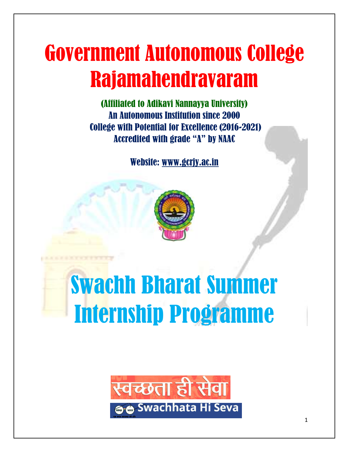# Government Autonomous College Rajamahendravaram

(Affiliated to Adikavi Nannayya University) An Autonomous Institution since 2000 College with Potential for Excellence (2016-2021) Accredited with grade "A" by NAAC

Website: [www.gcrjy.ac.in](http://www.gcrjy.ac.in/)



# Swachh Bharat Summer Internship Programme

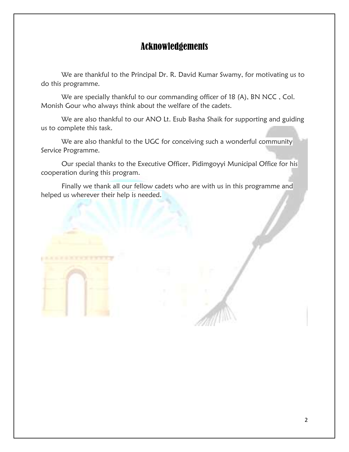# Acknowledgements

We are thankful to the Principal Dr. R. David Kumar Swamy, for motivating us to do this programme.

We are specially thankful to our commanding officer of 18 (A), BN NCC, Col. Monish Gour who always think about the welfare of the cadets.

We are also thankful to our ANO Lt. Esub Basha Shaik for supporting and guiding us to complete this task.

We are also thankful to the UGC for conceiving such a wonderful community Service Programme.

Our special thanks to the Executive Officer, Pidimgoyyi Municipal Office for his cooperation during this program.

Finally we thank all our fellow cadets who are with us in this programme and helped us wherever their help is needed.

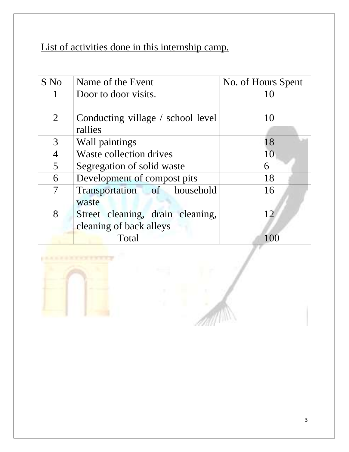List of activities done in this internship camp.

| S No           | Name of the Event                 | No. of Hours Spent |  |
|----------------|-----------------------------------|--------------------|--|
|                | Door to door visits.              | 10                 |  |
|                |                                   |                    |  |
| $\overline{2}$ | Conducting village / school level | 10                 |  |
|                | rallies                           |                    |  |
| 3              | Wall paintings                    | 18                 |  |
| $\overline{4}$ | Waste collection drives           | 10                 |  |
| 5              | Segregation of solid waste        | 6                  |  |
| 6              | Development of compost pits       | 18                 |  |
| $\overline{7}$ | Transportation of household       | 16                 |  |
|                | waste                             |                    |  |
| 8              | Street cleaning, drain cleaning,  | 12                 |  |
|                | cleaning of back alleys           |                    |  |
|                | Total                             |                    |  |

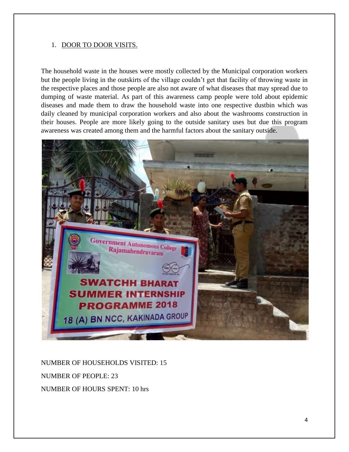#### 1. DOOR TO DOOR VISITS.

The household waste in the houses were mostly collected by the Municipal corporation workers but the people living in the outskirts of the village couldn't get that facility of throwing waste in the respective places and those people are also not aware of what diseases that may spread due to dumping of waste material. As part of this awareness camp people were told about epidemic diseases and made them to draw the household waste into one respective dustbin which was daily cleaned by municipal corporation workers and also about the washrooms construction in their houses. People are more likely going to the outside sanitary uses but due this program awareness was created among them and the harmful factors about the sanitary outside.



NUMBER OF HOUSEHOLDS VISITED: 15 NUMBER OF PEOPLE: 23 NUMBER OF HOURS SPENT: 10 hrs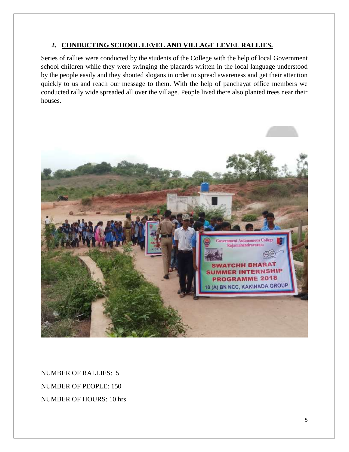#### **2. CONDUCTING SCHOOL LEVEL AND VILLAGE LEVEL RALLIES.**

Series of rallies were conducted by the students of the College with the help of local Government school children while they were swinging the placards written in the local language understood by the people easily and they shouted slogans in order to spread awareness and get their attention quickly to us and reach our message to them. With the help of panchayat office members we conducted rally wide spreaded all over the village. People lived there also planted trees near their houses.



NUMBER OF RALLIES: 5 NUMBER OF PEOPLE: 150 NUMBER OF HOURS: 10 hrs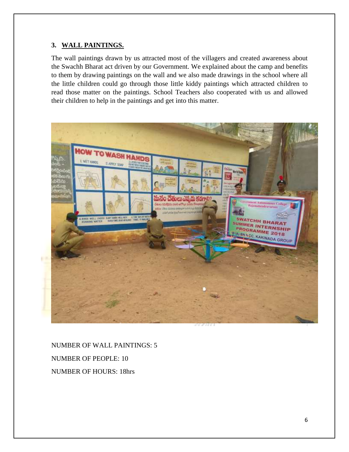#### **3. WALL PAINTINGS.**

The wall paintings drawn by us attracted most of the villagers and created awareness about the Swachh Bharat act driven by our Government. We explained about the camp and benefits to them by drawing paintings on the wall and we also made drawings in the school where all the little children could go through those little kiddy paintings which attracted children to read those matter on the paintings. School Teachers also cooperated with us and allowed their children to help in the paintings and get into this matter.



NUMBER OF WALL PAINTINGS: 5 NUMBER OF PEOPLE: 10 NUMBER OF HOURS: 18hrs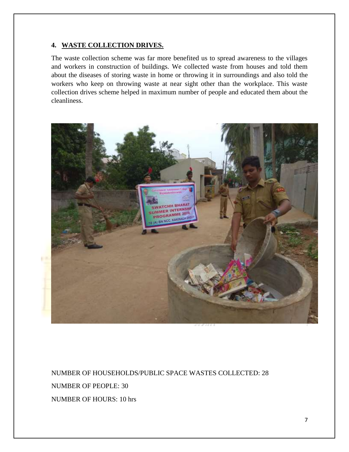#### **4. WASTE COLLECTION DRIVES.**

The waste collection scheme was far more benefited us to spread awareness to the villages and workers in construction of buildings. We collected waste from houses and told them about the diseases of storing waste in home or throwing it in surroundings and also told the workers who keep on throwing waste at near sight other than the workplace. This waste collection drives scheme helped in maximum number of people and educated them about the cleanliness.



NUMBER OF HOUSEHOLDS/PUBLIC SPACE WASTES COLLECTED: 28 NUMBER OF PEOPLE: 30 NUMBER OF HOURS: 10 hrs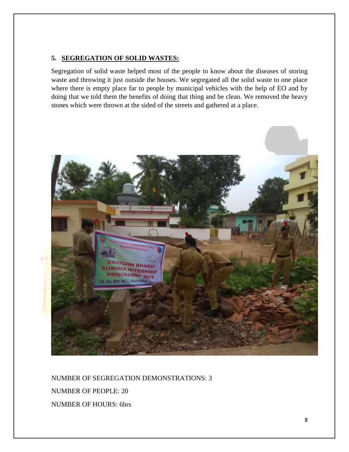#### **5. SEGREGATION OF SOLID WASTES:**

Segregation of solid waste helped most of the people to know about the diseases of storing waste and throwing it just outside the houses. We segregated all the solid waste to one place where there is empty place far to people by municipal vehicles with the help of EO and by doing that we told them the benefits of doing that thing and be clean. We removed the heavy stones which were thrown at the sided of the streets and gathered at a place.



NUMBER OF SEGREGATION DEMONSTRATIONS: 3 NUMBER OF PEOPLE: 20 NUMBER OF HOURS: 6hrs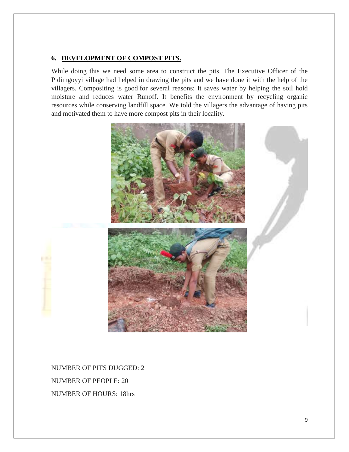#### **6. DEVELOPMENT OF COMPOST PITS.**

While doing this we need some area to construct the pits. The Executive Officer of the Pidimgoyyi village had helped in drawing the pits and we have done it with the help of the villagers. Compositing is good for several reasons: It saves water by helping the soil hold moisture and reduces water Runoff. It benefits the environment by recycling organic resources while conserving landfill space. We told the villagers the advantage of having pits and motivated them to have more compost pits in their locality.



NUMBER OF PITS DUGGED: 2 NUMBER OF PEOPLE: 20 NUMBER OF HOURS: 18hrs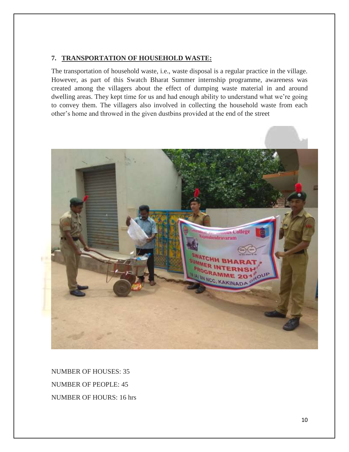#### **7. TRANSPORTATION OF HOUSEHOLD WASTE:**

The transportation of household waste, i.e., waste disposal is a regular practice in the village. However, as part of this Swatch Bharat Summer internship programme, awareness was created among the villagers about the effect of dumping waste material in and around dwelling areas. They kept time for us and had enough ability to understand what we're going to convey them. The villagers also involved in collecting the household waste from each other's home and throwed in the given dustbins provided at the end of the street



NUMBER OF HOUSES: 35 NUMBER OF PEOPLE: 45 NUMBER OF HOURS: 16 hrs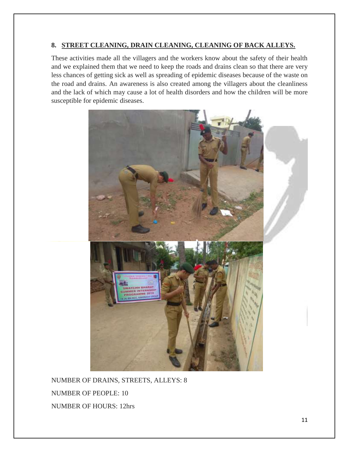#### **8. STREET CLEANING, DRAIN CLEANING, CLEANING OF BACK ALLEYS.**

These activities made all the villagers and the workers know about the safety of their health and we explained them that we need to keep the roads and drains clean so that there are very less chances of getting sick as well as spreading of epidemic diseases because of the waste on the road and drains. An awareness is also created among the villagers about the cleanliness and the lack of which may cause a lot of health disorders and how the children will be more susceptible for epidemic diseases.



NUMBER OF DRAINS, STREETS, ALLEYS: 8 NUMBER OF PEOPLE: 10 NUMBER OF HOURS: 12hrs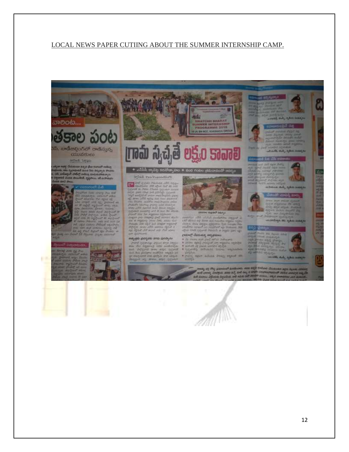#### LOCAL NEWS PAPER CUTIING ABOUT THE SUMMER INTERNSHIP CAMP.

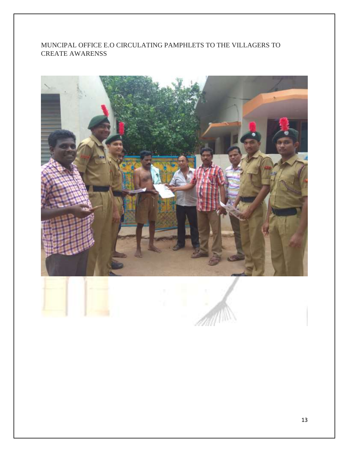#### MUNCIPAL OFFICE E.O CIRCULATING PAMPHLETS TO THE VILLAGERS TO CREATE AWARENSS

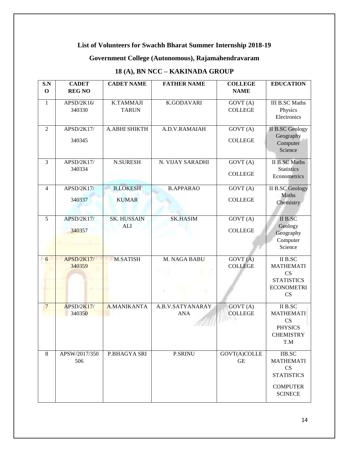## **List of Volunteers for Swachh Bharat Summer Internship 2018-19**

## **Government College (Autonomous), Rajamahendravaram**

# **18 (A), BN NCC – KAKINADA GROUP**

| S.N<br>$\mathbf 0$ | <b>CADET</b><br><b>REG NO</b> | <b>CADET NAME</b>                | <b>FATHER NAME</b>             | <b>COLLEGE</b><br><b>NAME</b>       | <b>EDUCATION</b>                                                                                  |
|--------------------|-------------------------------|----------------------------------|--------------------------------|-------------------------------------|---------------------------------------------------------------------------------------------------|
| $\mathbf{1}$       | APSD/2K16/<br>340330          | K.TAMMAJI<br><b>TARUN</b>        | <b>K.GODAVARI</b>              | GOVT(A)<br><b>COLLEGE</b>           | <b>III B.SC Maths</b><br>Physics<br>Electronics                                                   |
| $\mathfrak{2}$     | APSD/2K17/<br>340345          | A.ABHI SHIKTH                    | A.D.V.RAMAIAH                  | GOVT(A)<br><b>COLLEGE</b>           | <b>II B.SC Geology</b><br>Geography<br>Computer<br>Science                                        |
| 3                  | APSD/2K17/<br>340334          | <b>N.SURESH</b>                  | N. VIJAY SARADHI               | GOVT (A)<br><b>COLLEGE</b>          | <b>II B.SC Maths</b><br><b>Statistics</b><br>Econometrics                                         |
| 4                  | APSD/2K17/<br>340337          | <b>B.LOKESH</b><br><b>KUMAR</b>  | <b>B.APPARAO</b>               | GOVT(A)<br><b>COLLEGE</b>           | <b>II B.SC Geology</b><br><b>Maths</b><br>Chemistry                                               |
| 5                  | APSD/2K17/<br>340357          | <b>SK. HUSSAIN</b><br><b>ALI</b> | <b>SK.HASIM</b>                | GOVT(A)<br><b>COLLEGE</b>           | <b>II B.SC</b><br>Geology<br>Geography<br>Computer<br>Science                                     |
| 6                  | <b>APSD/2K17/</b><br>340359   | <b>M.SATISH</b>                  | M. NAGA BABU                   | GOVT(A)<br><b>COLLEGE</b>           | <b>II B.SC</b><br><b>MATHEMATI</b><br>CS<br><b>STATISTICS</b><br><b>ECONOMETRI</b><br>CS          |
| $7\phantom{.0}$    | <b>APSD/2K17/</b><br>340350   | A.MANIKANTA                      | A.B.V.SATYANARAY<br><b>ANA</b> | GOVT (A)<br><b>COLLEGE</b>          | <b>II B.SC</b><br><b>MATHEMATI</b><br>CS<br><b>PHYSICS</b><br><b>CHEMISTRY</b><br>T.M             |
| 8                  | APSW/2017/350<br>506          | P.BHAGYA SRI                     | <b>P.SRINU</b>                 | GOVT(A)COLLE<br>$\operatorname{GE}$ | <b>IIB.SC</b><br><b>MATHEMATI</b><br>CS<br><b>STATISTICS</b><br><b>COMPUTER</b><br><b>SCINECE</b> |